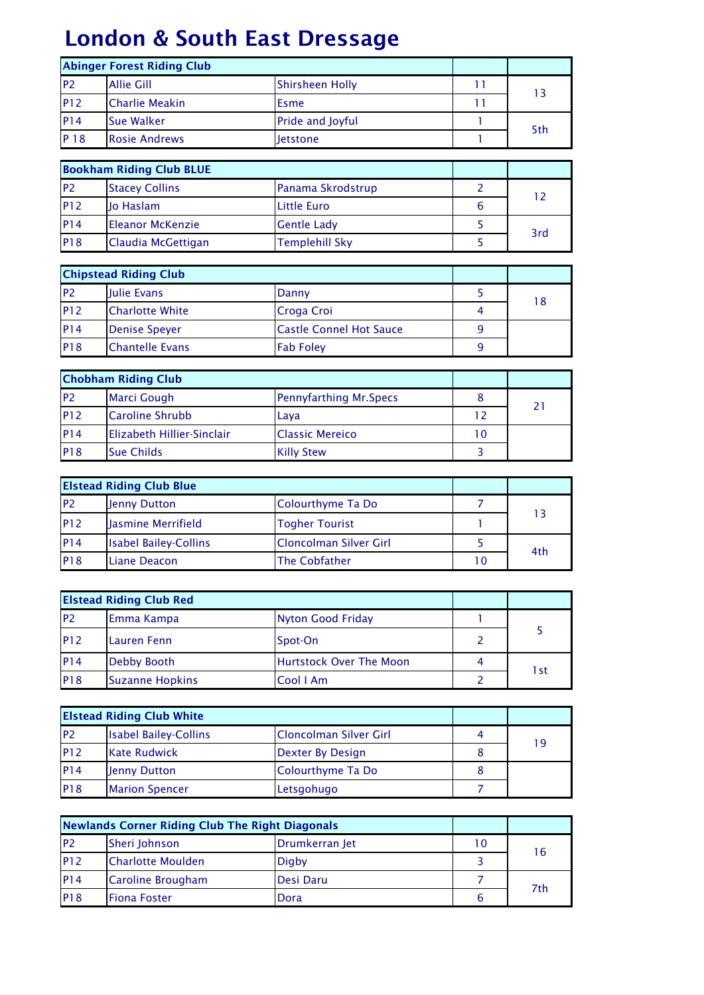# London & South East Dressage

|                | <b>Abinger Forest Riding Club</b> |                                |                |     |
|----------------|-----------------------------------|--------------------------------|----------------|-----|
| P <sub>2</sub> | <b>Allie Gill</b>                 | <b>Shirsheen Holly</b>         | 11             | 13  |
| <b>P12</b>     | <b>Charlie Meakin</b>             | Esme                           | 11             |     |
| P14            | <b>Sue Walker</b>                 | Pride and Joyful               | 1              | 5th |
| P 18           | <b>Rosie Andrews</b>              | Jetstone                       | 1              |     |
|                |                                   |                                |                |     |
|                | <b>Bookham Riding Club BLUE</b>   |                                |                |     |
| P <sub>2</sub> | <b>Stacey Collins</b>             | Panama Skrodstrup              | $\overline{2}$ | 12  |
| P12            | <b>Jo Haslam</b>                  | <b>Little Euro</b>             | 6              |     |
| P14            | <b>Eleanor McKenzie</b>           | <b>Gentle Lady</b>             | 5              | 3rd |
| P18            | Claudia McGettigan                | <b>Templehill Sky</b>          | 5              |     |
|                |                                   |                                |                |     |
|                | <b>Chipstead Riding Club</b>      |                                |                |     |
| P <sub>2</sub> | <b>Julie Evans</b>                | Danny                          | 5              | 18  |
| <b>P12</b>     | <b>Charlotte White</b>            | Croga Croi                     | 4              |     |
| P14            | <b>Denise Speyer</b>              | <b>Castle Connel Hot Sauce</b> | 9              |     |
| P18            | <b>Chantelle Evans</b>            | <b>Fab Foley</b>               | 9              |     |
|                |                                   |                                |                |     |
|                | <b>Chobham Riding Club</b>        |                                |                |     |
| P <sub>2</sub> | <b>Marci Gough</b>                | <b>Pennyfarthing Mr.Specs</b>  | 8              | 21  |
| <b>P12</b>     | <b>Caroline Shrubb</b>            | Laya                           | 12             |     |
| P14            | Elizabeth Hillier-Sinclair        | <b>Classic Mereico</b>         | 10             |     |
| <b>P18</b>     | <b>Sue Childs</b>                 | <b>Killy Stew</b>              | 3              |     |
|                |                                   |                                |                |     |
|                | <b>Elstead Riding Club Blue</b>   |                                |                |     |
| P <sub>2</sub> | <b>Jenny Dutton</b>               | Colourthyme Ta Do              | $\overline{7}$ |     |

| P <sub>2</sub> | <b>Jenny Dutton</b>          | Colourthyme Ta Do             |     |     |
|----------------|------------------------------|-------------------------------|-----|-----|
| <b>P12</b>     | Jasmine Merrifield           | <b>Togher Tourist</b>         |     |     |
| P14            | <b>Isabel Bailey-Collins</b> | <b>Cloncolman Silver Girl</b> |     | 4th |
| <b>P18</b>     | Liane Deacon                 | <b>The Cobfather</b>          | l 0 |     |

| <b>Elstead Riding Club Red</b> |                        |                                |     |
|--------------------------------|------------------------|--------------------------------|-----|
| P <sub>2</sub>                 | Emma Kampa             | Nyton Good Friday              |     |
| <b>P12</b>                     | Lauren Fenn            | Spot-On                        |     |
| P <sub>14</sub>                | Debby Booth            | <b>Hurtstock Over The Moon</b> |     |
| P18                            | <b>Suzanne Hopkins</b> | Cool I Am                      | 1st |

| <b>Elstead Riding Club White</b> |                              |                        |    |
|----------------------------------|------------------------------|------------------------|----|
| P <sub>2</sub>                   | <b>Isabel Bailey-Collins</b> | Cloncolman Silver Girl | 19 |
| <b>P12</b>                       | <b>Kate Rudwick</b>          | Dexter By Design       |    |
| P14                              | Jenny Dutton                 | Colourthyme Ta Do      |    |
| P18                              | <b>Marion Spencer</b>        | Letsgohugo             |    |

| <b>Newlands Corner Riding Club The Right Diagonals</b> |                          |                |    |     |
|--------------------------------------------------------|--------------------------|----------------|----|-----|
| P <sub>2</sub>                                         | Sheri Johnson            | Drumkerran Jet | 10 | 16  |
| <b>P12</b>                                             | <b>Charlotte Moulden</b> | <b>Digby</b>   |    |     |
| <b>P14</b>                                             | Caroline Brougham        | Desi Daru      |    | 7th |
| P18                                                    | <b>Fiona Foster</b>      | Dora           |    |     |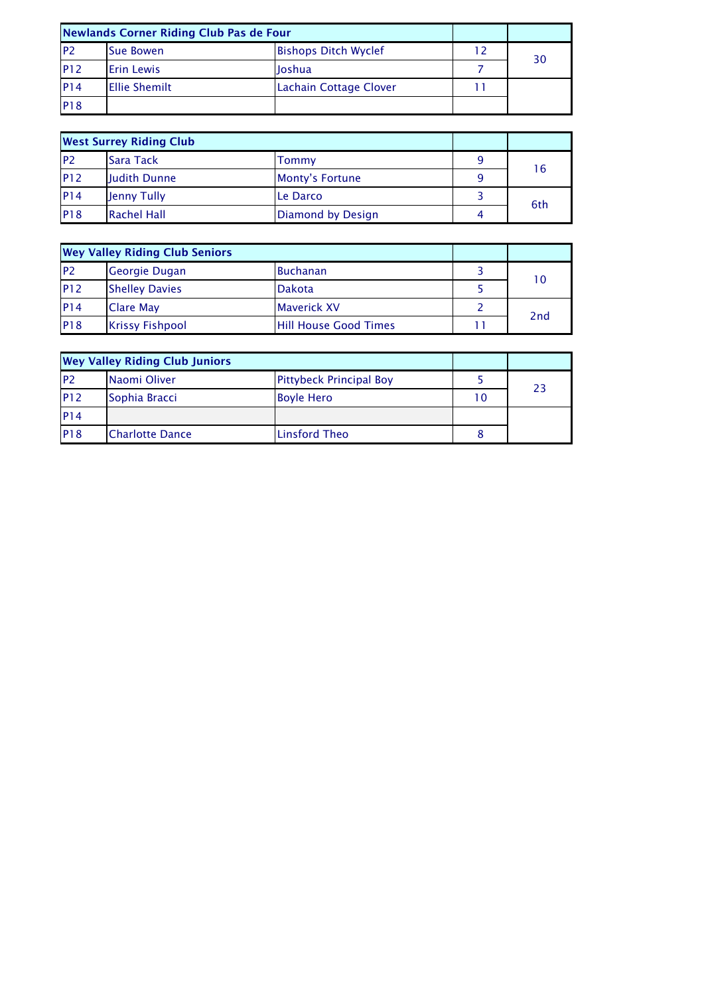| Newlands Corner Riding Club Pas de Four                    |                      |                        |  |    |
|------------------------------------------------------------|----------------------|------------------------|--|----|
| P <sub>2</sub><br><b>Bishops Ditch Wyclef</b><br>Sue Bowen |                      | 12                     |  |    |
| <b>P12</b>                                                 | <b>Erin Lewis</b>    | <b>loshua</b>          |  | 30 |
| P <sub>14</sub>                                            | <b>Ellie Shemilt</b> | Lachain Cottage Clover |  |    |
| <b>P18</b>                                                 |                      |                        |  |    |

|            | <b>West Surrey Riding Club</b> |                        |   |     |
|------------|--------------------------------|------------------------|---|-----|
| P2         | Sara Tack                      | Tommv                  | 9 | 16  |
| <b>P12</b> | <b>Judith Dunne</b>            | <b>Monty's Fortune</b> | 9 |     |
| P14        | Jenny Tully                    | Le Darco               |   |     |
| <b>P18</b> | <b>Rachel Hall</b>             | Diamond by Design      | 4 | 6th |

| <b>Wey Valley Riding Club Seniors</b> |                        |                              |     |  |
|---------------------------------------|------------------------|------------------------------|-----|--|
| P <sub>2</sub>                        | Georgie Dugan          | <b>Buchanan</b>              |     |  |
| <b>P12</b>                            | <b>Shelley Davies</b>  | <b>Dakota</b>                | 10  |  |
| <b>P14</b>                            | <b>Clare May</b>       | <b>Maverick XV</b>           |     |  |
| <b>P18</b>                            | <b>Krissy Fishpool</b> | <b>Hill House Good Times</b> | 2nd |  |

| <b>Wey Valley Riding Club Juniors</b> |                        |                                |    |    |
|---------------------------------------|------------------------|--------------------------------|----|----|
| P <sub>2</sub>                        | Naomi Oliver           | <b>Pittybeck Principal Boy</b> |    | 23 |
| <b>P12</b>                            | Sophia Bracci          | <b>Boyle Hero</b>              | 10 |    |
| P <sub>14</sub>                       |                        |                                |    |    |
| <b>P18</b>                            | <b>Charlotte Dance</b> | <b>Linsford Theo</b>           |    |    |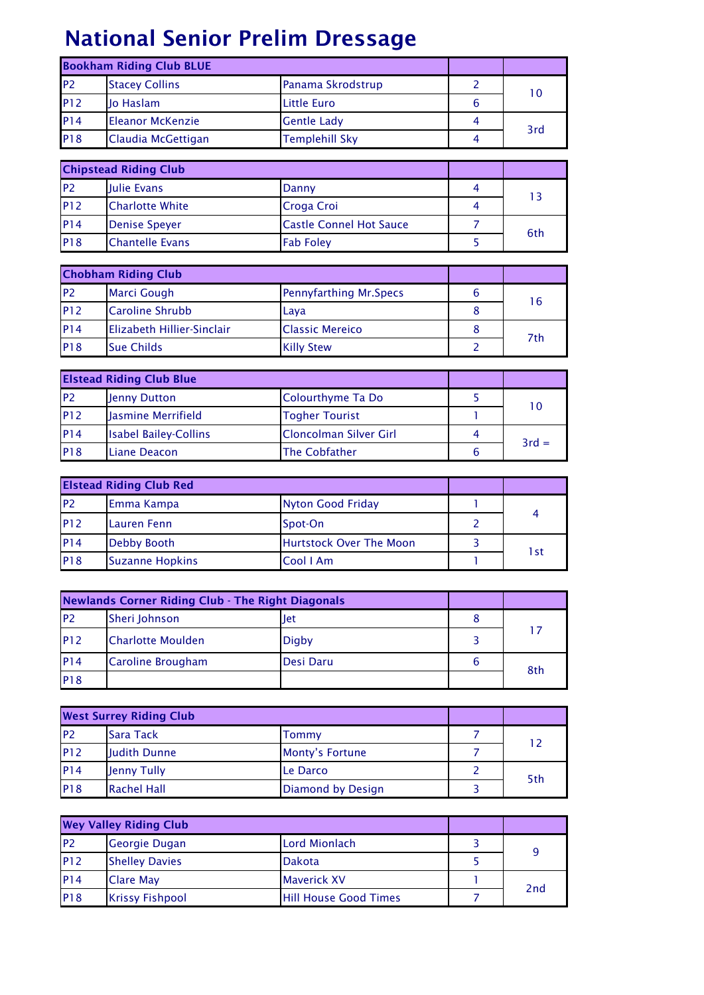# National Senior Prelim Dressage

|                | <b>Bookham Riding Club BLUE</b> |                                |                |                 |
|----------------|---------------------------------|--------------------------------|----------------|-----------------|
| P <sub>2</sub> | <b>Stacey Collins</b>           | Panama Skrodstrup              | 2              | 10              |
| P12            | lo Haslam                       | <b>Little Euro</b>             | 6              |                 |
| P14            | <b>Eleanor McKenzie</b>         | <b>Gentle Lady</b>             | $\overline{4}$ | 3rd             |
| P18            | Claudia McGettigan              | <b>Templehill Sky</b>          | 4              |                 |
|                |                                 |                                |                |                 |
|                | <b>Chipstead Riding Club</b>    |                                |                |                 |
| P <sub>2</sub> | <b>Julie Evans</b>              | Danny                          | 4              | 13              |
| <b>P12</b>     | <b>Charlotte White</b>          | Croga Croi                     | 4              |                 |
| P14            | <b>Denise Speyer</b>            | <b>Castle Connel Hot Sauce</b> | $\overline{7}$ | 6th             |
| P18            | <b>Chantelle Evans</b>          | <b>Fab Foley</b>               | 5              |                 |
|                |                                 |                                |                |                 |
|                | <b>Chobham Riding Club</b>      |                                |                |                 |
| P <sub>2</sub> | <b>Marci Gough</b>              | <b>Pennyfarthing Mr.Specs</b>  | 6              | 16              |
| <b>P12</b>     | <b>Caroline Shrubb</b>          | Laya                           | 8              |                 |
| P14            | Elizabeth Hillier-Sinclair      | <b>Classic Mereico</b>         | 8              | 7th             |
| P18            | <b>Sue Childs</b>               | <b>Killy Stew</b>              | $\overline{2}$ |                 |
|                |                                 |                                |                |                 |
|                | <b>Elstead Riding Club Blue</b> |                                |                |                 |
| P <sub>2</sub> | <b>Jenny Dutton</b>             | Colourthyme Ta Do              | 5              | 10              |
| <b>P12</b>     | Jasmine Merrifield              | <b>Togher Tourist</b>          | 1              |                 |
| P14            | <b>Isabel Bailey-Collins</b>    | <b>Cloncolman Silver Girl</b>  | 4              | $3rd =$         |
| P18            | <b>Liane Deacon</b>             | <b>The Cobfather</b>           | 6              |                 |
|                |                                 |                                |                |                 |
|                | <b>Elstead Riding Club Red</b>  |                                |                |                 |
| P <sub>2</sub> | Emma Kampa                      | <b>Nyton Good Friday</b>       | 1              | 4               |
| <b>P12</b>     | <b>Lauren Fenn</b>              | Spot-On                        | $\overline{2}$ |                 |
| P14            | <b>Debby Booth</b>              | <b>Hurtstock Over The Moon</b> | 3              | 1 <sub>st</sub> |
| <b>P18</b>     | <b>Suzanne Hopkins</b>          | Cool I Am                      | 1              |                 |

| <b>Newlands Corner Riding Club - The Right Diagonals</b> |                          |           |     |
|----------------------------------------------------------|--------------------------|-----------|-----|
| P <sub>2</sub>                                           | Sheri Johnson            | let       |     |
| P12                                                      | <b>Charlotte Moulden</b> | Digby     | 17  |
| P14                                                      | Caroline Brougham        | Desi Daru | 8th |
| <b>P18</b>                                               |                          |           |     |

| <b>West Surrey Riding Club</b> |                     |                   |     |
|--------------------------------|---------------------|-------------------|-----|
| P <sub>2</sub>                 | Sara Tack           | Tommy             | 12  |
| <b>P12</b>                     | <b>Judith Dunne</b> | Monty's Fortune   |     |
| P14                            | Jenny Tully         | Le Darco          | 5th |
| P18                            | <b>Rachel Hall</b>  | Diamond by Design |     |

| <b>Wey Valley Riding Club</b> |                        |                              |                 |
|-------------------------------|------------------------|------------------------------|-----------------|
| P <sub>2</sub>                | Georgie Dugan          | Lord Mionlach                | q               |
| P12                           | <b>Shelley Davies</b>  | <b>Dakota</b>                |                 |
| P14                           | <b>Clare May</b>       | <b>Maverick XV</b>           |                 |
| <b>P18</b>                    | <b>Krissy Fishpool</b> | <b>Hill House Good Times</b> | 2 <sub>nd</sub> |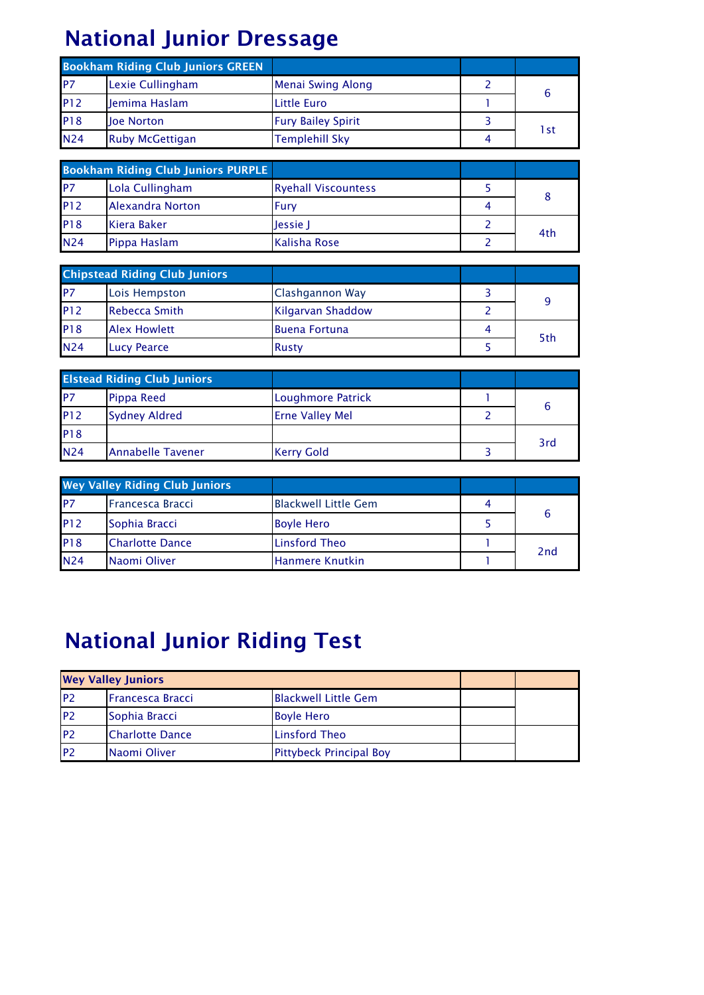# National Junior Dressage

|            | <b>Bookham Riding Club Juniors GREEN</b> |                           |      |
|------------|------------------------------------------|---------------------------|------|
| P7         | Lexie Cullingham                         | Menai Swing Along         |      |
| <b>P12</b> | Jemima Haslam                            | Little Euro               |      |
| <b>P18</b> | loe Norton                               | <b>Fury Bailey Spirit</b> |      |
| <b>N24</b> | <b>Ruby McGettigan</b>                   | <b>Templehill Sky</b>     | 1 st |

|            | <b>Bookham Riding Club Juniors PURPLE</b> |                            |     |
|------------|-------------------------------------------|----------------------------|-----|
| P7         | Lola Cullingham                           | <b>Ryehall Viscountess</b> |     |
| <b>P12</b> | Alexandra Norton                          | Fury                       | 8   |
| <b>P18</b> | Kiera Baker                               | lessie J                   |     |
| <b>N24</b> | Pippa Haslam                              | Kalisha Rose               | 4th |

|                 | <b>Chipstead Riding Club Juniors</b> |                          |  |     |
|-----------------|--------------------------------------|--------------------------|--|-----|
| P7              | Lois Hempston                        | Clashgannon Way          |  | a   |
| <b>P12</b>      | <b>Rebecca Smith</b>                 | <b>Kilgarvan Shaddow</b> |  |     |
| P18             | <b>Alex Howlett</b>                  | <b>Buena Fortuna</b>     |  | 5th |
| N <sub>24</sub> | <b>Lucy Pearce</b>                   | <b>Rusty</b>             |  |     |

|                 | <b>Elstead Riding Club Juniors</b> |                        |  |     |
|-----------------|------------------------------------|------------------------|--|-----|
| P7              | <b>Pippa Reed</b>                  | Loughmore Patrick      |  |     |
| <b>P12</b>      | <b>Sydney Aldred</b>               | <b>Erne Valley Mel</b> |  |     |
| P18             |                                    |                        |  |     |
| N <sub>24</sub> | Annabelle Tavener                  | <b>Kerry Gold</b>      |  | 3rd |

|                 | <b>Wey Valley Riding Club Juniors</b> |                             |     |
|-----------------|---------------------------------------|-----------------------------|-----|
| P7              | <b>Francesca Bracci</b>               | <b>Blackwell Little Gem</b> |     |
| <b>P12</b>      | Sophia Bracci                         | <b>Boyle Hero</b>           |     |
| <b>P18</b>      | <b>Charlotte Dance</b>                | <b>Linsford Theo</b>        |     |
| N <sub>24</sub> | Naomi Oliver                          | Hanmere Knutkin             | 2nd |

# National Junior Riding Test

| <b>Wey Valley Juniors</b> |                         |                                |  |
|---------------------------|-------------------------|--------------------------------|--|
| P <sub>2</sub>            | <b>Francesca Bracci</b> | <b>Blackwell Little Gem</b>    |  |
| P <sub>2</sub>            | Sophia Bracci           | <b>Boyle Hero</b>              |  |
| P <sub>2</sub>            | <b>Charlotte Dance</b>  | <b>Linsford Theo</b>           |  |
| P <sub>2</sub>            | Naomi Oliver            | <b>Pittybeck Principal Boy</b> |  |